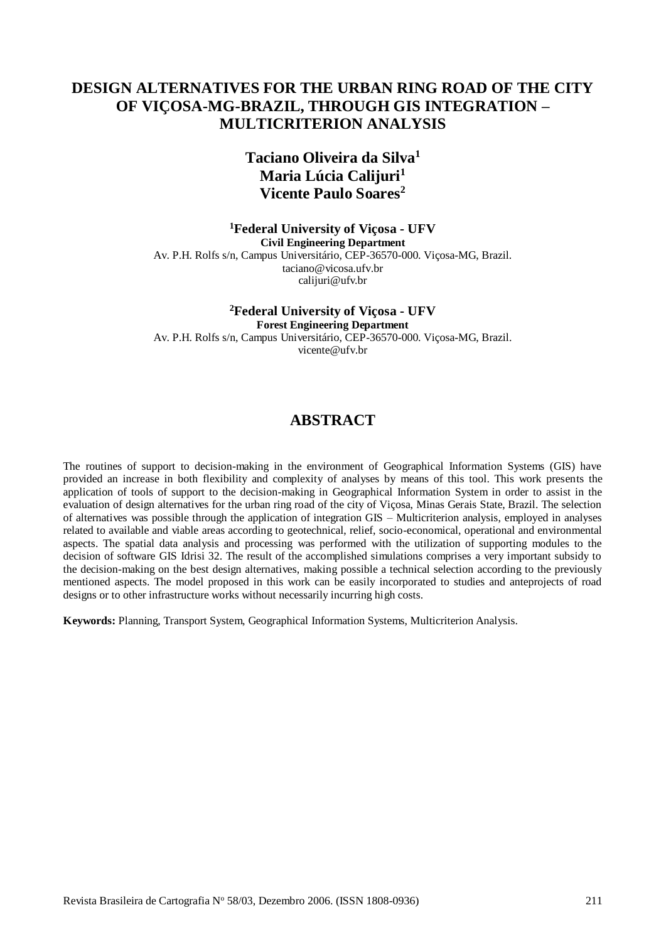# **DESIGN ALTERNATIVES FOR THE URBAN RING ROAD OF THE CITY OF VIÇOSA-MG-BRAZIL, THROUGH GIS INTEGRATION – MULTICRITERION ANALYSIS**

# **Taciano Oliveira da Silva<sup>1</sup> Maria Lúcia Calijuri<sup>1</sup> Vicente Paulo Soares<sup>2</sup>**

**<sup>1</sup>Federal University of Viçosa - UFV Civil Engineering Department** Av. P.H. Rolfs s/n, Campus Universitário, CEP-36570-000. Viçosa-MG, Brazil. taciano@vicosa.ufv.br calijuri@ufv.br

**<sup>2</sup>Federal University of Viçosa - UFV Forest Engineering Department** Av. P.H. Rolfs s/n, Campus Universitário, CEP-36570-000. Viçosa-MG, Brazil. vicente@ufv.br

# **ABSTRACT**

The routines of support to decision-making in the environment of Geographical Information Systems (GIS) have provided an increase in both flexibility and complexity of analyses by means of this tool. This work presents the application of tools of support to the decision-making in Geographical Information System in order to assist in the evaluation of design alternatives for the urban ring road of the city of Viçosa, Minas Gerais State, Brazil. The selection of alternatives was possible through the application of integration GIS – Multicriterion analysis, employed in analyses related to available and viable areas according to geotechnical, relief, socio-economical, operational and environmental aspects. The spatial data analysis and processing was performed with the utilization of supporting modules to the decision of software GIS Idrisi 32. The result of the accomplished simulations comprises a very important subsidy to the decision-making on the best design alternatives, making possible a technical selection according to the previously mentioned aspects. The model proposed in this work can be easily incorporated to studies and anteprojects of road designs or to other infrastructure works without necessarily incurring high costs.

**Keywords:** Planning, Transport System, Geographical Information Systems, Multicriterion Analysis.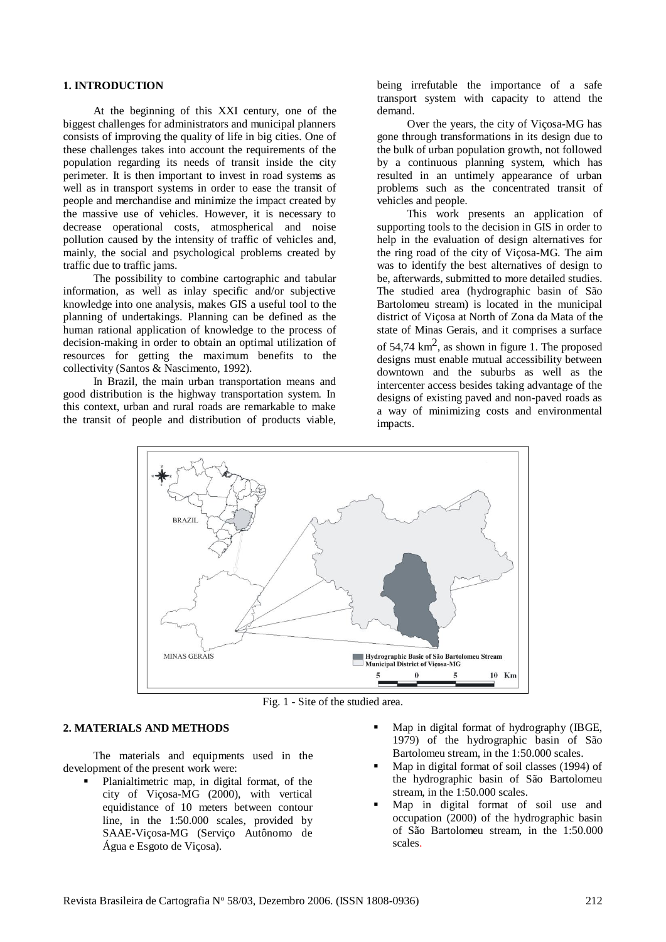#### **1. INTRODUCTION**

At the beginning of this XXI century, one of the biggest challenges for administrators and municipal planners consists of improving the quality of life in big cities. One of these challenges takes into account the requirements of the population regarding its needs of transit inside the city perimeter. It is then important to invest in road systems as well as in transport systems in order to ease the transit of people and merchandise and minimize the impact created by the massive use of vehicles. However, it is necessary to decrease operational costs, atmospherical and noise pollution caused by the intensity of traffic of vehicles and, mainly, the social and psychological problems created by traffic due to traffic jams.

The possibility to combine cartographic and tabular information, as well as inlay specific and/or subjective knowledge into one analysis, makes GIS a useful tool to the planning of undertakings. Planning can be defined as the human rational application of knowledge to the process of decision-making in order to obtain an optimal utilization of resources for getting the maximum benefits to the collectivity (Santos & Nascimento, 1992).

In Brazil, the main urban transportation means and good distribution is the highway transportation system. In this context, urban and rural roads are remarkable to make the transit of people and distribution of products viable,

being irrefutable the importance of a safe transport system with capacity to attend the demand.

Over the years, the city of Viçosa-MG has gone through transformations in its design due to the bulk of urban population growth, not followed by a continuous planning system, which has resulted in an untimely appearance of urban problems such as the concentrated transit of vehicles and people.

This work presents an application of supporting tools to the decision in GIS in order to help in the evaluation of design alternatives for the ring road of the city of Viçosa-MG. The aim was to identify the best alternatives of design to be, afterwards, submitted to more detailed studies. The studied area (hydrographic basin of São Bartolomeu stream) is located in the municipal district of Viçosa at North of Zona da Mata of the state of Minas Gerais, and it comprises a surface of  $54,74 \text{ km}^2$ , as shown in figure 1. The proposed designs must enable mutual accessibility between downtown and the suburbs as well as the intercenter access besides taking advantage of the designs of existing paved and non-paved roads as a way of minimizing costs and environmental impacts.



Fig. 1 - Site of the studied area.

# **2. MATERIALS AND METHODS**

The materials and equipments used in the development of the present work were:

- Planialtimetric map, in digital format, of the city of Viçosa-MG (2000), with vertical equidistance of 10 meters between contour line, in the 1:50.000 scales, provided by SAAE-Viçosa-MG (Serviço Autônomo de Água e Esgoto de Viçosa).
- Map in digital format of hydrography (IBGE, 1979) of the hydrographic basin of São Bartolomeu stream, in the 1:50.000 scales.
- Map in digital format of soil classes (1994) of the hydrographic basin of São Bartolomeu stream, in the 1:50.000 scales.
- Map in digital format of soil use and occupation (2000) of the hydrographic basin of São Bartolomeu stream, in the 1:50.000 scales.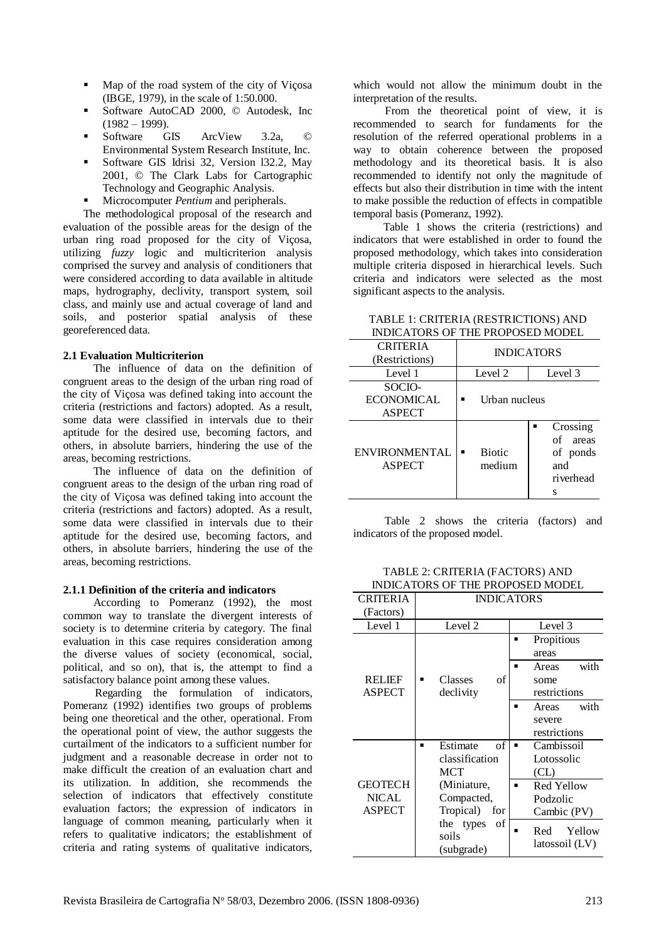- Map of the road system of the city of Viçosa (IBGE, 1979), in the scale of 1:50.000.
- Software AutoCAD 2000, © Autodesk, Inc  $(1982 - 1999)$ .
- Software GIS ArcView 3.2a, © Environmental System Research Institute, Inc.
- Software GIS Idrisi 32, Version l32.2, May 2001, © The Clark Labs for Cartographic Technology and Geographic Analysis.
- **Microcomputer** *Pentium* and peripherals.

The methodological proposal of the research and evaluation of the possible areas for the design of the urban ring road proposed for the city of Viçosa, utilizing *fuzzy* logic and multicriterion analysis comprised the survey and analysis of conditioners that were considered according to data available in altitude maps, hydrography, declivity, transport system, soil class, and mainly use and actual coverage of land and soils, and posterior spatial analysis of these georeferenced data.

#### **2.1 Evaluation Multicriterion**

The influence of data on the definition of congruent areas to the design of the urban ring road of the city of Viçosa was defined taking into account the criteria (restrictions and factors) adopted. As a result, some data were classified in intervals due to their aptitude for the desired use, becoming factors, and others, in absolute barriers, hindering the use of the areas, becoming restrictions.

The influence of data on the definition of congruent areas to the design of the urban ring road of the city of Viçosa was defined taking into account the criteria (restrictions and factors) adopted. As a result, some data were classified in intervals due to their aptitude for the desired use, becoming factors, and others, in absolute barriers, hindering the use of the areas, becoming restrictions.

## **2.1.1 Definition of the criteria and indicators**

According to Pomeranz (1992), the most common way to translate the divergent interests of society is to determine criteria by category. The final evaluation in this case requires consideration among the diverse values of society (economical, social, political, and so on), that is, the attempt to find a satisfactory balance point among these values.

Regarding the formulation of indicators, Pomeranz (1992) identifies two groups of problems being one theoretical and the other, operational. From the operational point of view, the author suggests the curtailment of the indicators to a sufficient number for judgment and a reasonable decrease in order not to make difficult the creation of an evaluation chart and its utilization. In addition, she recommends the selection of indicators that effectively constitute evaluation factors; the expression of indicators in language of common meaning, particularly when it refers to qualitative indicators; the establishment of criteria and rating systems of qualitative indicators,

which would not allow the minimum doubt in the interpretation of the results.

From the theoretical point of view, it is recommended to search for fundaments for the resolution of the referred operational problems in a way to obtain coherence between the proposed methodology and its theoretical basis. It is also recommended to identify not only the magnitude of effects but also their distribution in time with the intent to make possible the reduction of effects in compatible temporal basis (Pomeranz, 1992).

Table 1 shows the criteria (restrictions) and indicators that were established in order to found the proposed methodology, which takes into consideration multiple criteria disposed in hierarchical levels. Such criteria and indicators were selected as the most significant aspects to the analysis.

TABLE 1: CRITERIA (RESTRICTIONS) AND INDICATORS OF THE PROPOSED MODEL

| <b>CRITERIA</b><br>(Restrictions)            | <b>INDICATORS</b>            |                                                         |  |
|----------------------------------------------|------------------------------|---------------------------------------------------------|--|
| Level 1                                      | Level 2                      | Level 3                                                 |  |
| SOCIO-<br><b>ECONOMICAL</b><br><b>ASPECT</b> | Urban nucleus                |                                                         |  |
| ENVIRONMENTAL<br><b>ASPECT</b>               | <b>Biotic</b><br>п<br>medium | Crossing<br>of<br>areas<br>of ponds<br>and<br>riverhead |  |

Table 2 shows the criteria (factors) and indicators of the proposed model.

| TABLE 2: CRITERIA (FACTORS) AND  |  |
|----------------------------------|--|
| INDICATORS OF THE PROPOSED MODEL |  |
|                                  |  |

| <b>CRITERIA</b>                                 |                                                                   | <b>INDICATORS</b>                                 |
|-------------------------------------------------|-------------------------------------------------------------------|---------------------------------------------------|
| (Factors)                                       |                                                                   |                                                   |
| Level 1                                         | Level 2                                                           | Level 3                                           |
|                                                 |                                                                   | Propitious<br>٠<br>areas                          |
| <b>RELIEF</b><br><b>ASPECT</b>                  | Classes<br>of<br>declivity                                        | with<br>Areas<br>п<br>some<br>restrictions        |
|                                                 |                                                                   | with<br>Areas<br>п<br>severe<br>restrictions      |
|                                                 | $_{\mathrm{of}}$<br>Estimate<br>▪<br>classification<br><b>MCT</b> | Cambissoil<br>Lotossolic<br>(CL)                  |
| <b>GEOTECH</b><br><b>NICAL</b><br><b>ASPECT</b> | (Miniature,<br>Compacted,<br>Tropical)<br>for                     | <b>Red Yellow</b><br>п<br>Podzolic<br>Cambic (PV) |
|                                                 | the types<br>of<br>soils<br>(subgrade)                            | Yellow<br>Red<br>latossoil (LV)                   |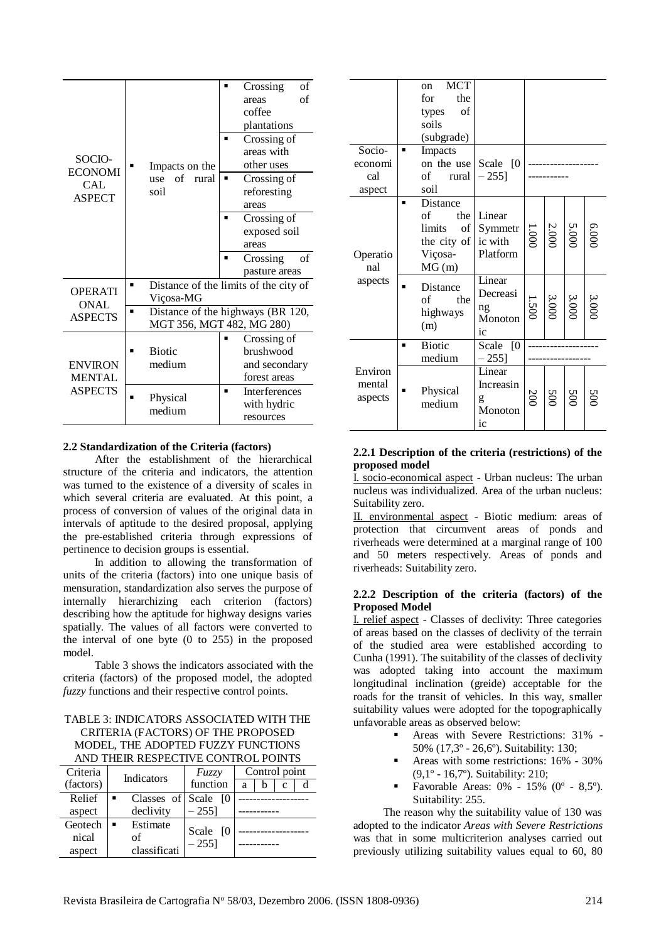| SOCIO-<br><b>ECONOMI</b><br>CAL<br><b>ASPECT</b>  |                            | Impacts on the                                                 | п                                                                                       | Crossing<br>areas<br>coffee<br>plantations<br>Crossing of<br>areas with<br>other uses | of<br>of |
|---------------------------------------------------|----------------------------|----------------------------------------------------------------|-----------------------------------------------------------------------------------------|---------------------------------------------------------------------------------------|----------|
|                                                   | of<br>use<br>rural<br>soil | ■                                                              | Crossing of<br>reforesting<br>areas<br>Crossing of<br>exposed soil<br>areas<br>Crossing | of                                                                                    |          |
|                                                   |                            |                                                                |                                                                                         | pasture areas                                                                         |          |
| <b>OPERATI</b>                                    | п                          | Viçosa-MG                                                      | Distance of the limits of the city of                                                   |                                                                                       |          |
| <b>ONAL</b><br><b>ASPECTS</b>                     | ■                          | Distance of the highways (BR 120,<br>MGT 356, MGT 482, MG 280) |                                                                                         |                                                                                       |          |
| <b>ENVIRON</b><br><b>MENTAL</b><br><b>ASPECTS</b> | ■                          | <b>Biotic</b><br>medium                                        | п                                                                                       | Crossing of<br>brushwood<br>and secondary<br>forest areas<br>Interferences            |          |
|                                                   | Physical<br>medium         |                                                                |                                                                                         | with hydric<br>resources                                                              |          |

#### **2.2 Standardization of the Criteria (factors)**

After the establishment of the hierarchical structure of the criteria and indicators, the attention was turned to the existence of a diversity of scales in which several criteria are evaluated. At this point, a process of conversion of values of the original data in intervals of aptitude to the desired proposal, applying the pre-established criteria through expressions of pertinence to decision groups is essential.

In addition to allowing the transformation of units of the criteria (factors) into one unique basis of mensuration, standardization also serves the purpose of internally hierarchizing each criterion (factors) describing how the aptitude for highway designs varies spatially. The values of all factors were converted to the interval of one byte (0 to 255) in the proposed model.

Table 3 shows the indicators associated with the criteria (factors) of the proposed model, the adopted *fuzzy* functions and their respective control points.

#### TABLE 3: INDICATORS ASSOCIATED WITH THE CRITERIA (FACTORS) OF THE PROPOSED MODEL, THE ADOPTED FUZZY FUNCTIONS AND THEIR RESPECTIVE CONTROL POINTS

| Criteria  | Indicators                 | Fuzzy     |   | Control point |   |  |  |  |
|-----------|----------------------------|-----------|---|---------------|---|--|--|--|
| (factors) |                            | function  | a | n             | с |  |  |  |
| Relief    | Classes of Scale           |           |   |               |   |  |  |  |
| aspect    | declivity                  | $-255$ ]  |   |               |   |  |  |  |
| Geotech   | Estimate<br>$\blacksquare$ | Scale [0] |   |               |   |  |  |  |
| nical     | of                         | $-255$ ]  |   |               |   |  |  |  |
| aspect    | classificati               |           |   |               |   |  |  |  |

|                              |   | <sub>on</sub>                                 | <b>MCT</b>                                                            |                                                                                       |     |                       |                       |               |
|------------------------------|---|-----------------------------------------------|-----------------------------------------------------------------------|---------------------------------------------------------------------------------------|-----|-----------------------|-----------------------|---------------|
|                              |   | for                                           | the                                                                   |                                                                                       |     |                       |                       |               |
|                              |   | types                                         | of                                                                    |                                                                                       |     |                       |                       |               |
|                              |   | soils                                         |                                                                       |                                                                                       |     |                       |                       |               |
|                              |   |                                               | (subgrade)                                                            |                                                                                       |     |                       |                       |               |
| Socio-                       | п | Impacts                                       |                                                                       |                                                                                       |     |                       |                       |               |
| economi                      |   |                                               |                                                                       | on the use Scale $[0]$                                                                |     |                       |                       |               |
| cal                          |   | of                                            | rural                                                                 | $-255$ ]                                                                              |     |                       |                       |               |
| aspect                       |   | soil                                          |                                                                       |                                                                                       |     |                       |                       |               |
| Operatio<br>nal<br>aspects   | п | of<br>limits<br>Viçosa-<br>MG(m)<br>of<br>(m) | Distance<br>the<br>of  <br>the city of<br>Distance<br>the<br>highways | Linear<br>Symmetr<br>ic with<br>Platform<br>Linear<br>Decreasi<br>ng<br>Monoton<br>ic |     | $\frac{3.000}{1.500}$ | $\frac{5.000}{2.000}$ | 0009<br>3.000 |
|                              | п | <b>Biotic</b>                                 |                                                                       | Scale [0]                                                                             |     |                       |                       |               |
|                              |   | medium                                        |                                                                       | $-255$ ]                                                                              |     |                       |                       |               |
| Environ<br>mental<br>aspects |   | Physical<br>medium                            |                                                                       | Linear<br>Increasin<br>g<br>Monoton<br>ic                                             | 200 | 500                   | 200                   |               |

#### **2.2.1 Description of the criteria (restrictions) of the proposed model**

I. socio-economical aspect - Urban nucleus: The urban nucleus was individualized. Area of the urban nucleus: Suitability zero.

II. environmental aspect - Biotic medium: areas of protection that circumvent areas of ponds and riverheads were determined at a marginal range of 100 and 50 meters respectively. Areas of ponds and riverheads: Suitability zero.

## **2.2.2 Description of the criteria (factors) of the Proposed Model**

I. relief aspect - Classes of declivity: Three categories of areas based on the classes of declivity of the terrain of the studied area were established according to Cunha (1991). The suitability of the classes of declivity was adopted taking into account the maximum longitudinal inclination (greide) acceptable for the roads for the transit of vehicles. In this way, smaller suitability values were adopted for the topographically unfavorable areas as observed below:

- Areas with Severe Restrictions: 31% 50% (17,3º - 26,6º). Suitability: 130;
- Areas with some restrictions: 16% 30% (9,1º - 16,7º). Suitability: 210;
- Favorable Areas: 0% 15% (0º 8,5º). Suitability: 255.

The reason why the suitability value of 130 was adopted to the indicator *Areas with Severe Restrictions* was that in some multicriterion analyses carried out previously utilizing suitability values equal to 60, 80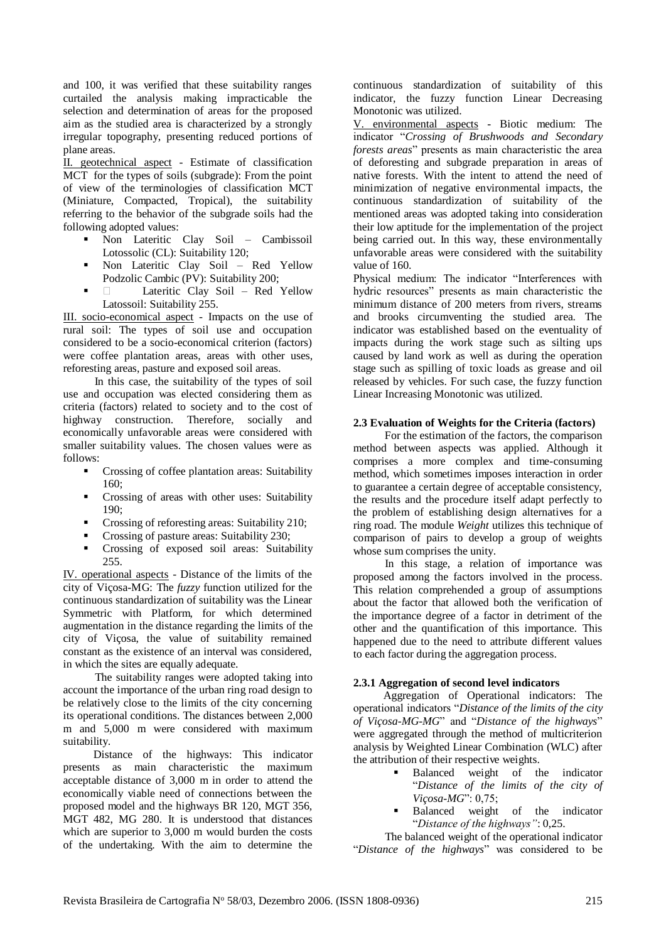and 100, it was verified that these suitability ranges curtailed the analysis making impracticable the selection and determination of areas for the proposed aim as the studied area is characterized by a strongly irregular topography, presenting reduced portions of plane areas.

II. geotechnical aspect - Estimate of classification MCT for the types of soils (subgrade): From the point of view of the terminologies of classification MCT (Miniature, Compacted, Tropical), the suitability referring to the behavior of the subgrade soils had the following adopted values:

- Non Lateritic Clay Soil Cambissoil Lotossolic (CL): Suitability 120;
- Non Lateritic Clay Soil Red Yellow Podzolic Cambic (PV): Suitability 200;
- **Lateritic Clay Soil Red Yellow** Latossoil: Suitability 255.

III. socio-economical aspect - Impacts on the use of rural soil: The types of soil use and occupation considered to be a socio-economical criterion (factors) were coffee plantation areas, areas with other uses, reforesting areas, pasture and exposed soil areas.

In this case, the suitability of the types of soil use and occupation was elected considering them as criteria (factors) related to society and to the cost of highway construction. Therefore, socially and economically unfavorable areas were considered with smaller suitability values. The chosen values were as follows:

- Crossing of coffee plantation areas: Suitability 160;
- Crossing of areas with other uses: Suitability  $190<sup>°</sup>$
- Crossing of reforesting areas: Suitability 210;
- Crossing of pasture areas: Suitability 230;
- **Crossing of exposed soil areas: Suitability** 255.

IV. operational aspects - Distance of the limits of the city of Viçosa-MG: The *fuzzy* function utilized for the continuous standardization of suitability was the Linear Symmetric with Platform, for which determined augmentation in the distance regarding the limits of the city of Viçosa, the value of suitability remained constant as the existence of an interval was considered, in which the sites are equally adequate.

The suitability ranges were adopted taking into account the importance of the urban ring road design to be relatively close to the limits of the city concerning its operational conditions. The distances between 2,000 m and 5,000 m were considered with maximum suitability.

Distance of the highways: This indicator presents as main characteristic the maximum acceptable distance of 3,000 m in order to attend the economically viable need of connections between the proposed model and the highways BR 120, MGT 356, MGT 482, MG 280. It is understood that distances which are superior to 3,000 m would burden the costs of the undertaking. With the aim to determine the

continuous standardization of suitability of this indicator, the fuzzy function Linear Decreasing Monotonic was utilized.

V. environmental aspects - Biotic medium: The indicator "*Crossing of Brushwoods and Secondary forests areas*" presents as main characteristic the area of deforesting and subgrade preparation in areas of native forests. With the intent to attend the need of minimization of negative environmental impacts, the continuous standardization of suitability of the mentioned areas was adopted taking into consideration their low aptitude for the implementation of the project being carried out. In this way, these environmentally unfavorable areas were considered with the suitability value of 160.

Physical medium: The indicator "Interferences with hydric resources" presents as main characteristic the minimum distance of 200 meters from rivers, streams and brooks circumventing the studied area. The indicator was established based on the eventuality of impacts during the work stage such as silting ups caused by land work as well as during the operation stage such as spilling of toxic loads as grease and oil released by vehicles. For such case, the fuzzy function Linear Increasing Monotonic was utilized.

## **2.3 Evaluation of Weights for the Criteria (factors)**

For the estimation of the factors, the comparison method between aspects was applied. Although it comprises a more complex and time-consuming method, which sometimes imposes interaction in order to guarantee a certain degree of acceptable consistency, the results and the procedure itself adapt perfectly to the problem of establishing design alternatives for a ring road. The module *Weight* utilizes this technique of comparison of pairs to develop a group of weights whose sum comprises the unity.

In this stage, a relation of importance was proposed among the factors involved in the process. This relation comprehended a group of assumptions about the factor that allowed both the verification of the importance degree of a factor in detriment of the other and the quantification of this importance. This happened due to the need to attribute different values to each factor during the aggregation process.

## **2.3.1 Aggregation of second level indicators**

Aggregation of Operational indicators: The operational indicators "*Distance of the limits of the city of Viçosa-MG-MG*" and "*Distance of the highways*" were aggregated through the method of multicriterion analysis by Weighted Linear Combination (WLC) after the attribution of their respective weights.

- Balanced weight of the indicator "*Distance of the limits of the city of Viçosa-MG*": 0,75;
- Balanced weight of the indicator "*Distance of the highways"*: 0,25.

The balanced weight of the operational indicator "*Distance of the highways*" was considered to be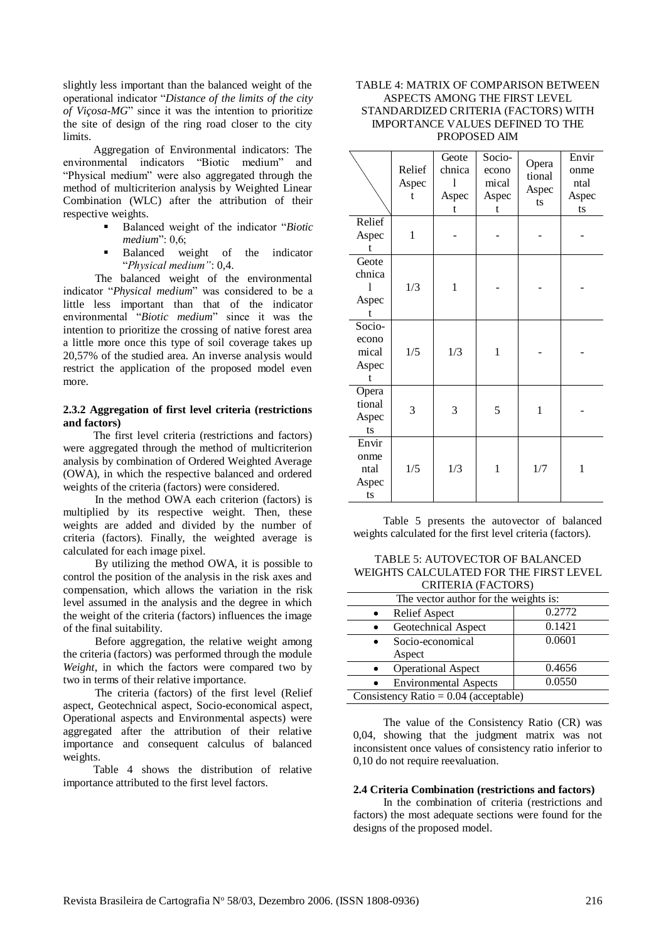slightly less important than the balanced weight of the operational indicator "*Distance of the limits of the city of Viçosa-MG*" since it was the intention to prioritize the site of design of the ring road closer to the city limits.

Aggregation of Environmental indicators: The environmental indicators "Biotic medium" and "Physical medium" were also aggregated through the method of multicriterion analysis by Weighted Linear Combination (WLC) after the attribution of their respective weights.

- Balanced weight of the indicator "*Biotic medium*": 0,6;
- Balanced weight of the indicator "*Physical medium"*: 0,4.

The balanced weight of the environmental indicator "*Physical medium*" was considered to be a little less important than that of the indicator environmental "*Biotic medium*" since it was the intention to prioritize the crossing of native forest area a little more once this type of soil coverage takes up 20,57% of the studied area. An inverse analysis would restrict the application of the proposed model even more.

#### **2.3.2 Aggregation of first level criteria (restrictions and factors)**

The first level criteria (restrictions and factors) were aggregated through the method of multicriterion analysis by combination of Ordered Weighted Average (OWA), in which the respective balanced and ordered weights of the criteria (factors) were considered.

In the method OWA each criterion (factors) is multiplied by its respective weight. Then, these weights are added and divided by the number of criteria (factors). Finally, the weighted average is calculated for each image pixel.

By utilizing the method OWA, it is possible to control the position of the analysis in the risk axes and compensation, which allows the variation in the risk level assumed in the analysis and the degree in which the weight of the criteria (factors) influences the image of the final suitability.

Before aggregation, the relative weight among the criteria (factors) was performed through the module *Weight*, in which the factors were compared two by two in terms of their relative importance.

The criteria (factors) of the first level (Relief aspect, Geotechnical aspect, Socio-economical aspect, Operational aspects and Environmental aspects) were aggregated after the attribution of their relative importance and consequent calculus of balanced weights.

Table 4 shows the distribution of relative importance attributed to the first level factors.

## TABLE 4: MATRIX OF COMPARISON BETWEEN ASPECTS AMONG THE FIRST LEVEL STANDARDIZED CRITERIA (FACTORS) WITH IMPORTANCE VALUES DEFINED TO THE PROPOSED AIM

|                                        | Relief<br>Aspec<br>t | Geote<br>chnica<br>1<br>Aspec<br>t | Socio-<br>econo<br>mical<br>Aspec<br>t | Opera<br>tional<br>Aspec<br>ts | Envir<br>onme<br>ntal<br>Aspec<br>ts |
|----------------------------------------|----------------------|------------------------------------|----------------------------------------|--------------------------------|--------------------------------------|
| Relief<br>Aspec<br>t                   | $\mathbf{1}$         |                                    |                                        |                                |                                      |
| Geote<br>chnica<br>1<br>Aspec<br>t     | 1/3                  | 1                                  |                                        |                                |                                      |
| Socio-<br>econo<br>mical<br>Aspec<br>t | 1/5                  | 1/3                                | 1                                      |                                |                                      |
| Opera<br>tional<br>Aspec<br>ts         | 3                    | 3                                  | 5                                      | $\mathbf{1}$                   |                                      |
| Envir<br>onme<br>ntal<br>Aspec<br>ts   | 1/5                  | 1/3                                | 1                                      | 1/7                            | 1                                    |

Table 5 presents the autovector of balanced weights calculated for the first level criteria (factors).

| TABLE 5: AUTOVECTOR OF BALANCED        |
|----------------------------------------|
| WEIGHTS CALCULATED FOR THE FIRST LEVEL |
| CRITERIA (FACTORS)                     |

| The vector author for the weights is:     |        |  |  |  |  |
|-------------------------------------------|--------|--|--|--|--|
| <b>Relief Aspect</b><br>$\bullet$         | 0.2772 |  |  |  |  |
| Geotechnical Aspect<br>$\bullet$          | 0.1421 |  |  |  |  |
| Socio-economical<br>$\bullet$             | 0.0601 |  |  |  |  |
| Aspect                                    |        |  |  |  |  |
| <b>Operational Aspect</b><br>$\bullet$    | 0.4656 |  |  |  |  |
| <b>Environmental Aspects</b><br>$\bullet$ | 0.0550 |  |  |  |  |
| Consistency Ratio = $0.04$ (acceptable)   |        |  |  |  |  |

The value of the Consistency Ratio (CR) was 0,04, showing that the judgment matrix was not inconsistent once values of consistency ratio inferior to 0,10 do not require reevaluation.

### **2.4 Criteria Combination (restrictions and factors)**

In the combination of criteria (restrictions and factors) the most adequate sections were found for the designs of the proposed model.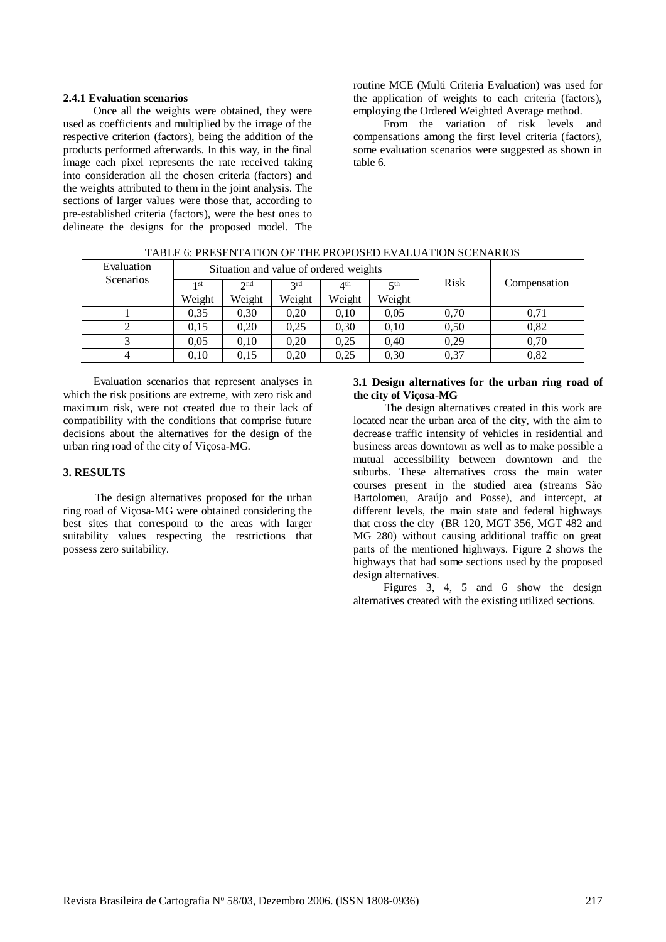#### **2.4.1 Evaluation scenarios**

Once all the weights were obtained, they were used as coefficients and multiplied by the image of the respective criterion (factors), being the addition of the products performed afterwards. In this way, in the final image each pixel represents the rate received taking into consideration all the chosen criteria (factors) and the weights attributed to them in the joint analysis. The sections of larger values were those that, according to pre-established criteria (factors), were the best ones to delineate the designs for the proposed model. The

routine MCE (Multi Criteria Evaluation) was used for the application of weights to each criteria (factors), employing the Ordered Weighted Average method.

From the variation of risk levels and compensations among the first level criteria (factors), some evaluation scenarios were suggested as shown in table 6.

| Evaluation       | Situation and value of ordered weights |        |        |                                |           |      |              |
|------------------|----------------------------------------|--------|--------|--------------------------------|-----------|------|--------------|
| <b>Scenarios</b> | 1 st                                   | 2nd    | 2rd    | $\mathbf{\Lambda}^{\text{th}}$ | $\leq$ th | Risk | Compensation |
|                  | Weight                                 | Weight | Weight | Weight                         | Weight    |      |              |
|                  | 0.35                                   | 0.30   | 0.20   | 0.10                           | 0.05      | 0.70 | 0.71         |
|                  | 0,15                                   | 0.20   | 0.25   | 0.30                           | 0.10      | 0,50 | 0,82         |
|                  | 0.05                                   | 0.10   | 0.20   | 0.25                           | 0.40      | 0.29 | 0,70         |
|                  | 0.10                                   | 0.15   | 0.20   | 0.25                           | 0,30      | 0,37 | 0,82         |

TABLE 6: PRESENTATION OF THE PROPOSED EVALUATION SCENARIOS

Evaluation scenarios that represent analyses in which the risk positions are extreme, with zero risk and maximum risk, were not created due to their lack of compatibility with the conditions that comprise future decisions about the alternatives for the design of the urban ring road of the city of Viçosa-MG.

# **3. RESULTS**

The design alternatives proposed for the urban ring road of Viçosa-MG were obtained considering the best sites that correspond to the areas with larger suitability values respecting the restrictions that possess zero suitability.

#### **3.1 Design alternatives for the urban ring road of the city of Viçosa-MG**

The design alternatives created in this work are located near the urban area of the city, with the aim to decrease traffic intensity of vehicles in residential and business areas downtown as well as to make possible a mutual accessibility between downtown and the suburbs. These alternatives cross the main water courses present in the studied area (streams São Bartolomeu, Araújo and Posse), and intercept, at different levels, the main state and federal highways that cross the city (BR 120, MGT 356, MGT 482 and MG 280) without causing additional traffic on great parts of the mentioned highways. Figure 2 shows the highways that had some sections used by the proposed design alternatives.

Figures 3, 4, 5 and 6 show the design alternatives created with the existing utilized sections.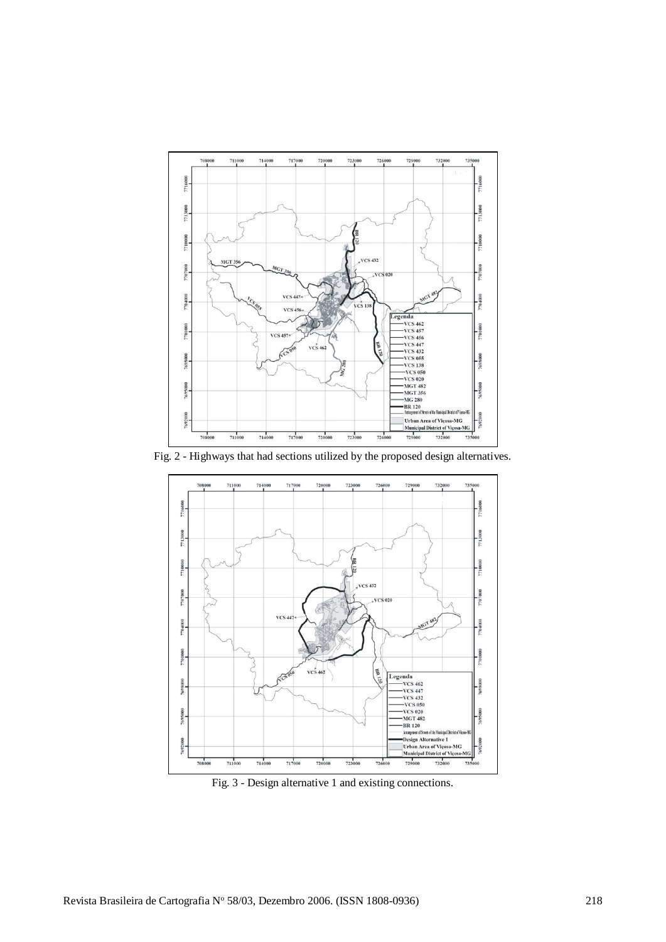

Fig. 2 - Highways that had sections utilized by the proposed design alternatives.



Fig. 3 - Design alternative 1 and existing connections.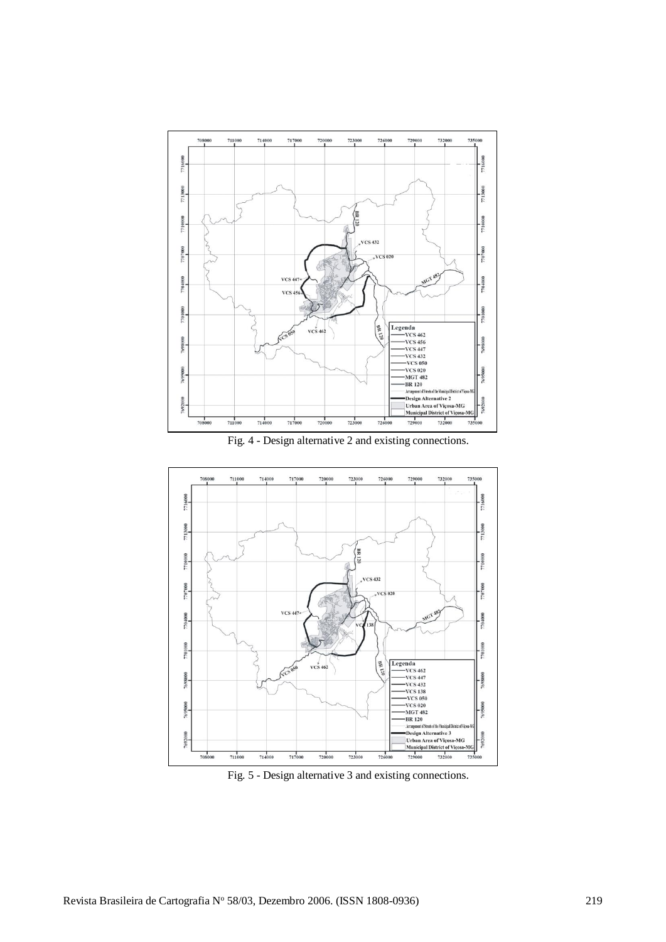

Fig. 4 - Design alternative 2 and existing connections.



Fig. 5 - Design alternative 3 and existing connections.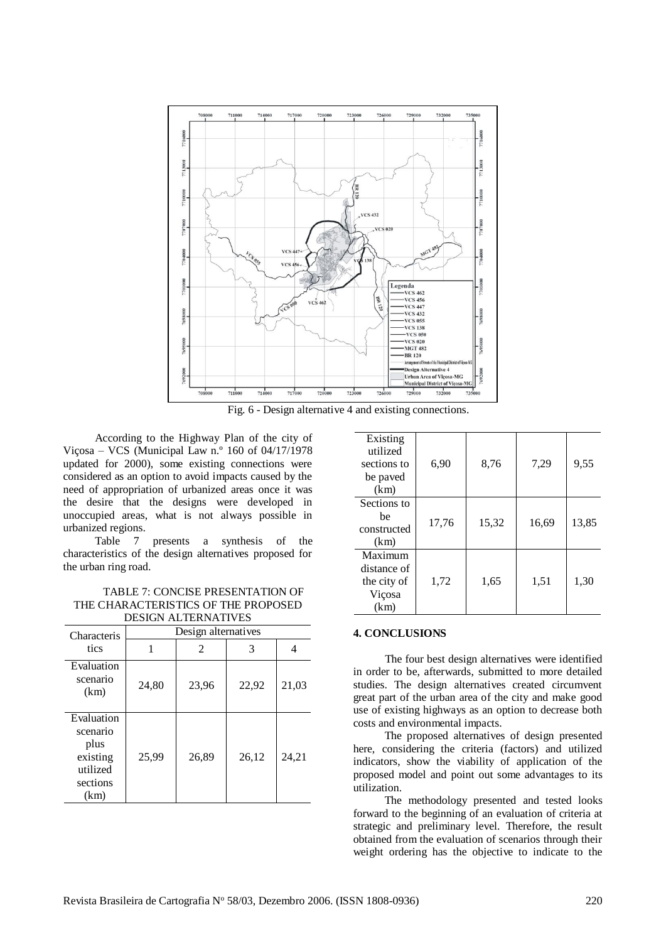

Fig. 6 - Design alternative 4 and existing connections.

According to the Highway Plan of the city of Viçosa – VCS (Municipal Law n.º 160 of 04/17/1978 updated for 2000), some existing connections were considered as an option to avoid impacts caused by the need of appropriation of urbanized areas once it was the desire that the designs were developed in unoccupied areas, what is not always possible in urbanized regions.

Table 7 presents a synthesis of the characteristics of the design alternatives proposed for the urban ring road.

TABLE 7: CONCISE PRESENTATION OF THE CHARACTERISTICS OF THE PROPOSED

| <b>DESIGN ALTERNATIVES</b>                                                 |       |                     |       |       |  |  |
|----------------------------------------------------------------------------|-------|---------------------|-------|-------|--|--|
| Characteris                                                                |       | Design alternatives |       |       |  |  |
| tics                                                                       | 1     | 2                   | 3     | 4     |  |  |
| Evaluation<br>scenario<br>(km)                                             | 24,80 | 23,96               | 22,92 | 21,03 |  |  |
| Evaluation<br>scenario<br>plus<br>existing<br>utilized<br>sections<br>(km) | 25,99 | 26,89               | 26,12 | 24,21 |  |  |

| Existing<br>utilized<br>sections to<br>be paved<br>(km) | 6,90  | 8,76  | 7,29  | 9,55  |
|---------------------------------------------------------|-------|-------|-------|-------|
| Sections to<br>he<br>constructed<br>(km)                | 17,76 | 15,32 | 16,69 | 13,85 |
| Maximum<br>distance of<br>the city of<br>Viçosa<br>(km) | 1,72  | 1,65  | 1,51  | 1,30  |

# **4. CONCLUSIONS**

The four best design alternatives were identified in order to be, afterwards, submitted to more detailed studies. The design alternatives created circumvent great part of the urban area of the city and make good use of existing highways as an option to decrease both costs and environmental impacts.

The proposed alternatives of design presented here, considering the criteria (factors) and utilized indicators, show the viability of application of the proposed model and point out some advantages to its utilization.

The methodology presented and tested looks forward to the beginning of an evaluation of criteria at strategic and preliminary level. Therefore, the result obtained from the evaluation of scenarios through their weight ordering has the objective to indicate to the